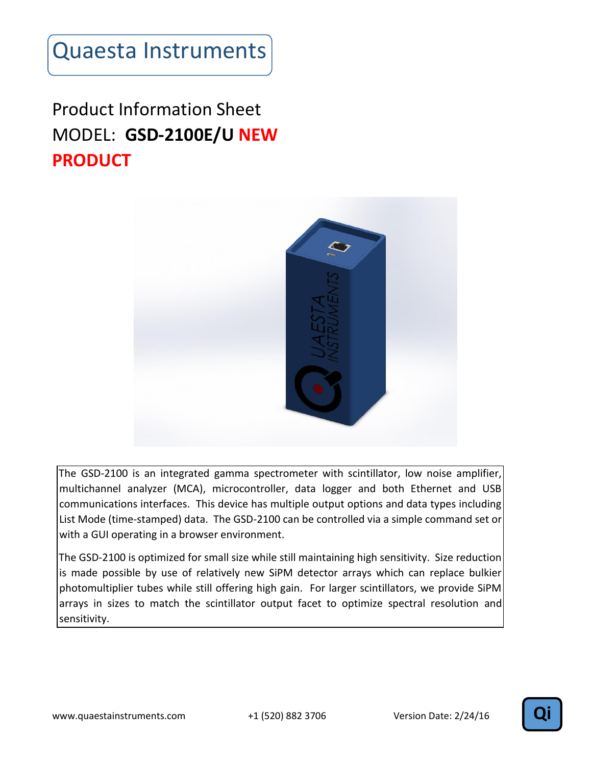#### Product Information Sheet MODEL: **GSD-2100E/U NEW PRODUCT**



The GSD-2100 is an integrated gamma spectrometer with scintillator, low noise amplifier, multichannel analyzer (MCA), microcontroller, data logger and both Ethernet and USB communications interfaces. This device has multiple output options and data types including List Mode (time-stamped) data. The GSD-2100 can be controlled via a simple command set or with a GUI operating in a browser environment.

The GSD-2100 is optimized for small size while still maintaining high sensitivity. Size reduction is made possible by use of relatively new SiPM detector arrays which can replace bulkier photomultiplier tubes while still offering high gain. For larger scintillators, we provide SiPM arrays in sizes to match the scintillator output facet to optimize spectral resolution and sensitivity.

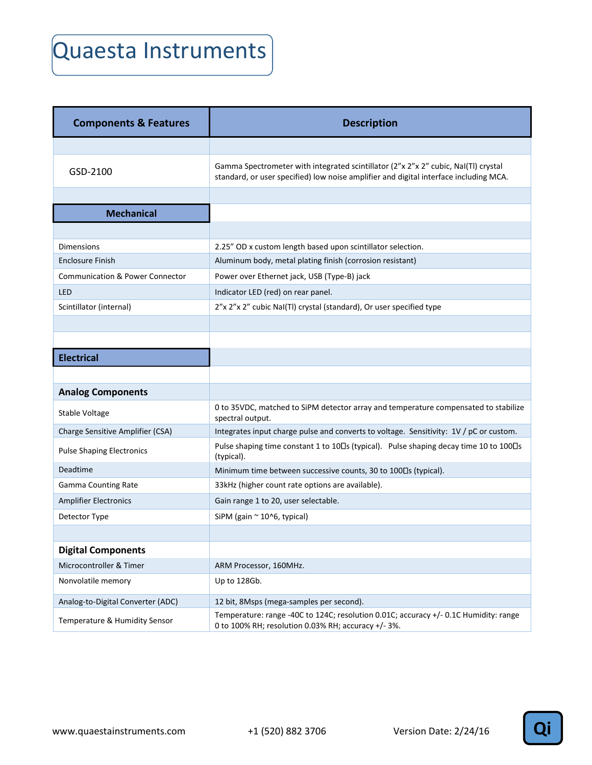| <b>Components &amp; Features</b>           | <b>Description</b>                                                                                                                                                          |
|--------------------------------------------|-----------------------------------------------------------------------------------------------------------------------------------------------------------------------------|
|                                            |                                                                                                                                                                             |
| GSD-2100                                   | Gamma Spectrometer with integrated scintillator (2"x 2"x 2" cubic, Nal(Tl) crystal<br>standard, or user specified) low noise amplifier and digital interface including MCA. |
|                                            |                                                                                                                                                                             |
| <b>Mechanical</b>                          |                                                                                                                                                                             |
|                                            |                                                                                                                                                                             |
| <b>Dimensions</b>                          | 2.25" OD x custom length based upon scintillator selection.                                                                                                                 |
| <b>Enclosure Finish</b>                    | Aluminum body, metal plating finish (corrosion resistant)                                                                                                                   |
| <b>Communication &amp; Power Connector</b> | Power over Ethernet jack, USB (Type-B) jack                                                                                                                                 |
| <b>LED</b>                                 | Indicator LED (red) on rear panel.                                                                                                                                          |
| Scintillator (internal)                    | 2"x 2"x 2" cubic NaI(TI) crystal (standard), Or user specified type                                                                                                         |
|                                            |                                                                                                                                                                             |
|                                            |                                                                                                                                                                             |
| <b>Electrical</b>                          |                                                                                                                                                                             |
|                                            |                                                                                                                                                                             |
| <b>Analog Components</b>                   |                                                                                                                                                                             |
| Stable Voltage                             | 0 to 35VDC, matched to SiPM detector array and temperature compensated to stabilize<br>spectral output.                                                                     |
| Charge Sensitive Amplifier (CSA)           | Integrates input charge pulse and converts to voltage. Sensitivity: 1V / pC or custom.                                                                                      |
| <b>Pulse Shaping Electronics</b>           | Pulse shaping time constant 1 to 10 []s (typical). Pulse shaping decay time 10 to 100 []s<br>(typical).                                                                     |
| Deadtime                                   | Minimum time between successive counts, 30 to 100 \ (typical).                                                                                                              |
| <b>Gamma Counting Rate</b>                 | 33kHz (higher count rate options are available).                                                                                                                            |
| <b>Amplifier Electronics</b>               | Gain range 1 to 20, user selectable.                                                                                                                                        |
| Detector Type                              | SiPM (gain $\approx$ 10^6, typical)                                                                                                                                         |
|                                            |                                                                                                                                                                             |
| <b>Digital Components</b>                  |                                                                                                                                                                             |
| Microcontroller & Timer                    | ARM Processor, 160MHz.                                                                                                                                                      |
| Nonvolatile memory                         | Up to 128Gb.                                                                                                                                                                |
| Analog-to-Digital Converter (ADC)          | 12 bit, 8Msps (mega-samples per second).                                                                                                                                    |
| Temperature & Humidity Sensor              | Temperature: range -40C to 124C; resolution 0.01C; accuracy +/- 0.1C Humidity: range<br>0 to 100% RH; resolution 0.03% RH; accuracy +/- 3%.                                 |

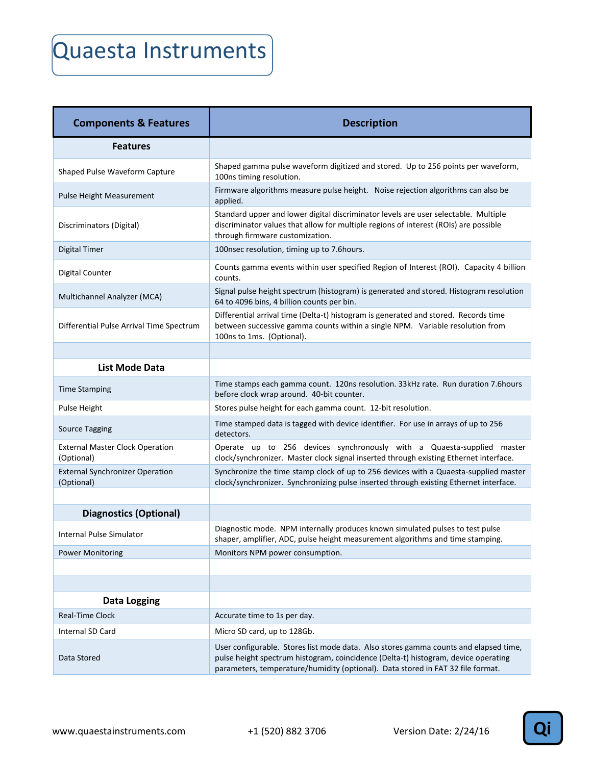| <b>Components &amp; Features</b>                     | <b>Description</b>                                                                                                                                                                                                                                            |
|------------------------------------------------------|---------------------------------------------------------------------------------------------------------------------------------------------------------------------------------------------------------------------------------------------------------------|
| <b>Features</b>                                      |                                                                                                                                                                                                                                                               |
| Shaped Pulse Waveform Capture                        | Shaped gamma pulse waveform digitized and stored. Up to 256 points per waveform,<br>100ns timing resolution.                                                                                                                                                  |
| Pulse Height Measurement                             | Firmware algorithms measure pulse height. Noise rejection algorithms can also be<br>applied.                                                                                                                                                                  |
| Discriminators (Digital)                             | Standard upper and lower digital discriminator levels are user selectable. Multiple<br>discriminator values that allow for multiple regions of interest (ROIs) are possible<br>through firmware customization.                                                |
| <b>Digital Timer</b>                                 | 100nsec resolution, timing up to 7.6hours.                                                                                                                                                                                                                    |
| Digital Counter                                      | Counts gamma events within user specified Region of Interest (ROI). Capacity 4 billion<br>counts.                                                                                                                                                             |
| Multichannel Analyzer (MCA)                          | Signal pulse height spectrum (histogram) is generated and stored. Histogram resolution<br>64 to 4096 bins, 4 billion counts per bin.                                                                                                                          |
| Differential Pulse Arrival Time Spectrum             | Differential arrival time (Delta-t) histogram is generated and stored. Records time<br>between successive gamma counts within a single NPM. Variable resolution from<br>100ns to 1ms. (Optional).                                                             |
|                                                      |                                                                                                                                                                                                                                                               |
| <b>List Mode Data</b>                                |                                                                                                                                                                                                                                                               |
| <b>Time Stamping</b>                                 | Time stamps each gamma count. 120ns resolution. 33kHz rate. Run duration 7.6hours<br>before clock wrap around. 40-bit counter.                                                                                                                                |
| <b>Pulse Height</b>                                  | Stores pulse height for each gamma count. 12-bit resolution.                                                                                                                                                                                                  |
| <b>Source Tagging</b>                                | Time stamped data is tagged with device identifier. For use in arrays of up to 256<br>detectors.                                                                                                                                                              |
| <b>External Master Clock Operation</b><br>(Optional) | Operate up to 256 devices synchronously with a Quaesta-supplied master<br>clock/synchronizer. Master clock signal inserted through existing Ethernet interface.                                                                                               |
| <b>External Synchronizer Operation</b><br>(Optional) | Synchronize the time stamp clock of up to 256 devices with a Quaesta-supplied master<br>clock/synchronizer. Synchronizing pulse inserted through existing Ethernet interface.                                                                                 |
|                                                      |                                                                                                                                                                                                                                                               |
| <b>Diagnostics (Optional)</b>                        |                                                                                                                                                                                                                                                               |
| <b>Internal Pulse Simulator</b>                      | Diagnostic mode. NPM internally produces known simulated pulses to test pulse<br>shaper, amplifier, ADC, pulse height measurement algorithms and time stamping.                                                                                               |
| <b>Power Monitoring</b>                              | Monitors NPM power consumption.                                                                                                                                                                                                                               |
|                                                      |                                                                                                                                                                                                                                                               |
|                                                      |                                                                                                                                                                                                                                                               |
| <b>Data Logging</b>                                  |                                                                                                                                                                                                                                                               |
| <b>Real-Time Clock</b>                               | Accurate time to 1s per day.                                                                                                                                                                                                                                  |
| Internal SD Card                                     | Micro SD card, up to 128Gb.                                                                                                                                                                                                                                   |
| Data Stored                                          | User configurable. Stores list mode data. Also stores gamma counts and elapsed time,<br>pulse height spectrum histogram, coincidence (Delta-t) histogram, device operating<br>parameters, temperature/humidity (optional). Data stored in FAT 32 file format. |